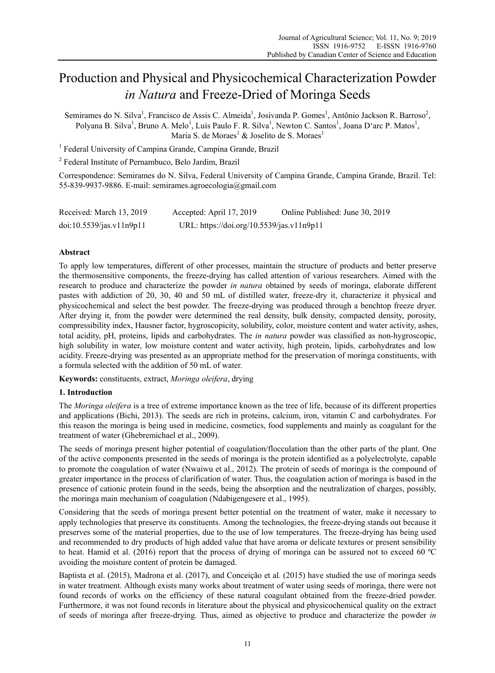# Production and Physical and Physicochemical Characterization Powder *in Natura* and Freeze-Dried of Moringa Seeds

Semirames do N. Silva<sup>1</sup>, Francisco de Assis C. Almeida<sup>1</sup>, Josivanda P. Gomes<sup>1</sup>, Antônio Jackson R. Barroso<sup>2</sup>, Polyana B. Silva<sup>1</sup>, Bruno A. Melo<sup>1</sup>, Luís Paulo F. R. Silva<sup>1</sup>, Newton C. Santos<sup>1</sup>, Joana D'arc P. Matos<sup>1</sup>, Maria S. de Moraes<sup>1</sup> & Joselito de S. Moraes<sup>1</sup>

<sup>1</sup> Federal University of Campina Grande, Campina Grande, Brazil

2 Federal Institute of Pernambuco, Belo Jardim, Brazil

Correspondence: Semirames do N. Silva, Federal University of Campina Grande, Campina Grande, Brazil. Tel: 55-839-9937-9886. E-mail: semirames.agroecologia@gmail.com

| Received: March 13, 2019 | Accepted: April 17, 2019                  | Online Published: June 30, 2019 |
|--------------------------|-------------------------------------------|---------------------------------|
| doi:10.5539/jas.v11n9p11 | URL: https://doi.org/10.5539/jas.v11n9p11 |                                 |

## **Abstract**

To apply low temperatures, different of other processes, maintain the structure of products and better preserve the thermosensitive components, the freeze-drying has called attention of various researchers. Aimed with the research to produce and characterize the powder *in natura* obtained by seeds of moringa, elaborate different pastes with addiction of 20, 30, 40 and 50 mL of distilled water, freeze-dry it, characterize it physical and physicochemical and select the best powder. The freeze-drying was produced through a benchtop freeze dryer. After drying it, from the powder were determined the real density, bulk density, compacted density, porosity, compressibility index, Hausner factor, hygroscopicity, solubility, color, moisture content and water activity, ashes, total acidity, pH, proteins, lipids and carbohydrates. The *in natura* powder was classified as non-hygroscopic, high solubility in water, low moisture content and water activity, high protein, lipids, carbohydrates and low acidity. Freeze-drying was presented as an appropriate method for the preservation of moringa constituents, with a formula selected with the addition of 50 mL of water.

**Keywords:** constituents, extract, *Moringa oleifera*, drying

## **1. Introduction**

The *Moringa oleifera* is a tree of extreme importance known as the tree of life, because of its different properties and applications (Bichi, 2013). The seeds are rich in proteins, calcium, iron, vitamin C and carbohydrates. For this reason the moringa is being used in medicine, cosmetics, food supplements and mainly as coagulant for the treatment of water (Ghebremichael et al., 2009).

The seeds of moringa present higher potential of coagulation/flocculation than the other parts of the plant. One of the active components presented in the seeds of moringa is the protein identified as a polyelectrolyte, capable to promote the coagulation of water (Nwaiwu et al., 2012). The protein of seeds of moringa is the compound of greater importance in the process of clarification of water. Thus, the coagulation action of moringa is based in the presence of cationic protein found in the seeds, being the absorption and the neutralization of charges, possibly, the moringa main mechanism of coagulation (Ndabigengesere et al., 1995).

Considering that the seeds of moringa present better potential on the treatment of water, make it necessary to apply technologies that preserve its constituents. Among the technologies, the freeze-drying stands out because it preserves some of the material properties, due to the use of low temperatures. The freeze-drying has being used and recommended to dry products of high added value that have aroma or delicate textures or present sensibility to heat. Hamid et al. (2016) report that the process of drying of moringa can be assured not to exceed 60 ºC avoiding the moisture content of protein be damaged.

Baptista et al. (2015), Madrona et al. (2017), and Conceição et al. (2015) have studied the use of moringa seeds in water treatment. Although exists many works about treatment of water using seeds of moringa, there were not found records of works on the efficiency of these natural coagulant obtained from the freeze-dried powder. Furthermore, it was not found records in literature about the physical and physicochemical quality on the extract of seeds of moringa after freeze-drying. Thus, aimed as objective to produce and characterize the powder *in*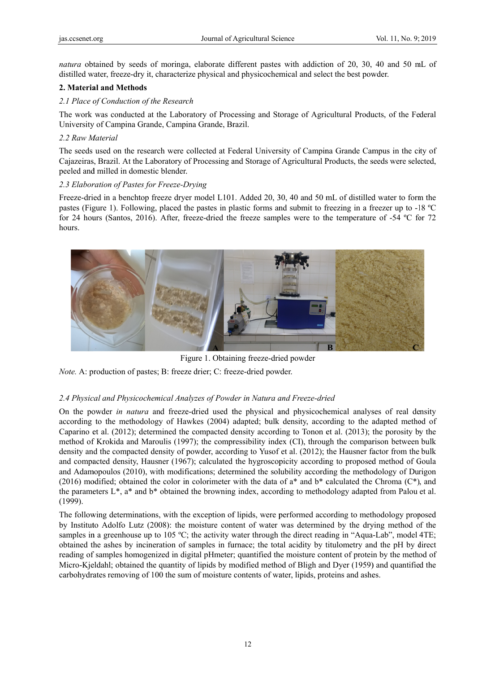natura obtained by seeds of moringa, elaborate different pastes with addiction of 20, 30, 40 and 50 mL of distilled water, freeze-dry it, characterize physical and physicochemical and select the best powder.

## **2. Material and Methods**

## 2.1 Place of Conduction of the Research

The work was conducted at the Laboratory of Processing and Storage of Agricultural Products, of the Federal University of Campina Grande, Campina Grande, Brazil.

## *2.2 Raw M Material*

The seeds used on the research were collected at Federal University of Campina Grande Campus in the city of Cajazeiras, Brazil. At the Laboratory of Processing and Storage of Agricultural Products, the seeds were selected, peeled and milled in domestic blender.

## 2.3 Elaboration of Pastes for Freeze-Drying

Freeze-dried in a benchtop freeze dryer model L101. Added 20, 30, 40 and 50 mL of distilled water to form the pastes (Figure 1). Following, placed the pastes in plastic forms and submit to freezing in a freezer up to -18 °C for 24 hours (Santos, 2016). After, freeze-dried the freeze samples were to the temperature of -54 °C for 72 hours.



Figure 1. Obtaining freeze-dried powder

*Note.* A: production of pastes; B: freeze drier; C: freeze-dried powder.

# 2.4 Physical and Physicochemical Analyzes of Powder in Natura and Freeze-dried

On the powder *in natura* and freeze-dried used the physical and physicochemical analyses of real density according to the methodology of Hawkes (2004) adapted; bulk density, according to the adapted method of Caparino et al. (2012); determined the compacted density according to Tonon et al. (2013); the porosity by the method of Krokida and Maroulis (1997); the compressibility index (CI), through the comparison between bulk density and the compacted density of powder, according to Yusof et al. (2012); the Hausner factor from the bulk and compacted density, Hausner (1967); calculated the hygroscopicity according to proposed method of Goula and Adamopoulos (2010), with modifications; determined the solubility according the methodology of Durigon (2016) modified; obtained the color in colorimeter with the data of  $a^*$  and  $b^*$  calculated the Chroma (C\*), and the parameters  $L^*$ , a<sup>\*</sup> and  $b^*$  obtained the browning index, according to methodology adapted from Palou et al. (1999).

The following determinations, with the exception of lipids, were performed according to methodology proposed by Instituto Adolfo Lutz (2008): the moisture content of water was determined by the drying method of the samples in a greenhouse up to 105 °C; the activity water through the direct reading in "Aqua-Lab", model 4TE; obtained the ashes by incineration of samples in furnace; the total acidity by titulometry and the pH by direct reading of samples homogenized in digital pHmeter; quantified the moisture content of protein by the method of Micro-Kjeldahl; obtained the quantity of lipids by modified method of Bligh and Dyer (1959) and quantified the carbohydrates removing of 100 the sum of moisture contents of water, lipids, proteins and ashes.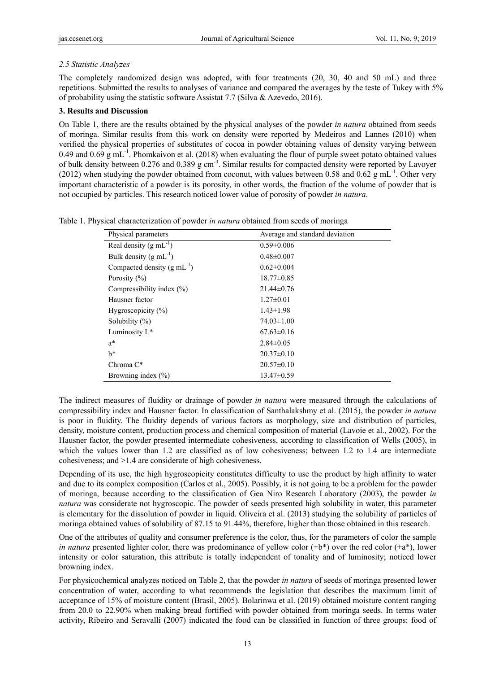# *2.5 Statistic Analyzes*

The completely randomized design was adopted, with four treatments (20, 30, 40 and 50 mL) and three repetitions. Submitted the results to analyses of variance and compared the averages by the teste of Tukey with 5% of probability using the statistic software Assistat 7.7 (Silva & Azevedo, 2016).

# **3. Results and Discussion**

On Table 1, there are the results obtained by the physical analyses of the powder *in natura* obtained from seeds of moringa. Similar results from this work on density were reported by Medeiros and Lannes (2010) when verified the physical properties of substitutes of cocoa in powder obtaining values of density varying between 0.49 and 0.69 g mL<sup>-1</sup>. Phomkaivon et al. (2018) when evaluating the flour of purple sweet potato obtained values of bulk density between 0.276 and 0.389 g cm-3. Similar results for compacted density were reported by Lavoyer (2012) when studying the powder obtained from coconut, with values between 0.58 and 0.62 g mL<sup>-1</sup>. Other very important characteristic of a powder is its porosity, in other words, the fraction of the volume of powder that is not occupied by particles. This research noticed lower value of porosity of powder *in natura*.

|  | Table 1. Physical characterization of powder in natura obtained from seeds of moringa |  |  |  |  |
|--|---------------------------------------------------------------------------------------|--|--|--|--|
|  |                                                                                       |  |  |  |  |

| Physical parameters                | Average and standard deviation |
|------------------------------------|--------------------------------|
| Real density $(g \text{ mL}^{-1})$ | $0.59 \pm 0.006$               |
| Bulk density $(g \text{ mL}^{-1})$ | $0.48 \pm 0.007$               |
| Compacted density $(g mL^{-1})$    | $0.62 \pm 0.004$               |
| Porosity $(\% )$                   | $18.77 \pm 0.85$               |
| Compressibility index $(\% )$      | $21.44\pm 0.76$                |
| Hausner factor                     | $1.27 \pm 0.01$                |
| Hygroscopicity $(\% )$             | $1.43 \pm 1.98$                |
| Solubility $(\%)$                  | $74.03 \pm 1.00$               |
| Luminosity $L^*$                   | $67.63 \pm 0.16$               |
| $a^*$                              | $2.84 \pm 0.05$                |
| h*                                 | $20.37 \pm 0.10$               |
| Chroma $C^*$                       | $20.57 \pm 0.10$               |
| Browning index $(\% )$             | $13.47\pm0.59$                 |

The indirect measures of fluidity or drainage of powder *in natura* were measured through the calculations of compressibility index and Hausner factor. In classification of Santhalakshmy et al. (2015), the powder *in natura* is poor in fluidity. The fluidity depends of various factors as morphology, size and distribution of particles, density, moisture content, production process and chemical composition of material (Lavoie et al., 2002). For the Hausner factor, the powder presented intermediate cohesiveness, according to classification of Wells (2005), in which the values lower than 1.2 are classified as of low cohesiveness; between 1.2 to 1.4 are intermediate cohesiveness; and >1.4 are considerate of high cohesiveness.

Depending of its use, the high hygroscopicity constitutes difficulty to use the product by high affinity to water and due to its complex composition (Carlos et al., 2005). Possibly, it is not going to be a problem for the powder of moringa, because according to the classification of Gea Niro Research Laboratory (2003), the powder *in natura* was considerate not hygroscopic. The powder of seeds presented high solubility in water, this parameter is elementary for the dissolution of powder in liquid. Oliveira et al. (2013) studying the solubility of particles of moringa obtained values of solubility of 87.15 to 91.44%, therefore, higher than those obtained in this research.

One of the attributes of quality and consumer preference is the color, thus, for the parameters of color the sample *in natura* presented lighter color, there was predominance of yellow color (+b\*) over the red color (+a\*), lower intensity or color saturation, this attribute is totally independent of tonality and of luminosity; noticed lower browning index.

For physicochemical analyzes noticed on Table 2, that the powder *in natura* of seeds of moringa presented lower concentration of water, according to what recommends the legislation that describes the maximum limit of acceptance of 15% of moisture content (Brasil, 2005). Bolarinwa et al. (2019) obtained moisture content ranging from 20.0 to 22.90% when making bread fortified with powder obtained from moringa seeds. In terms water activity, Ribeiro and Seravalli (2007) indicated the food can be classified in function of three groups: food of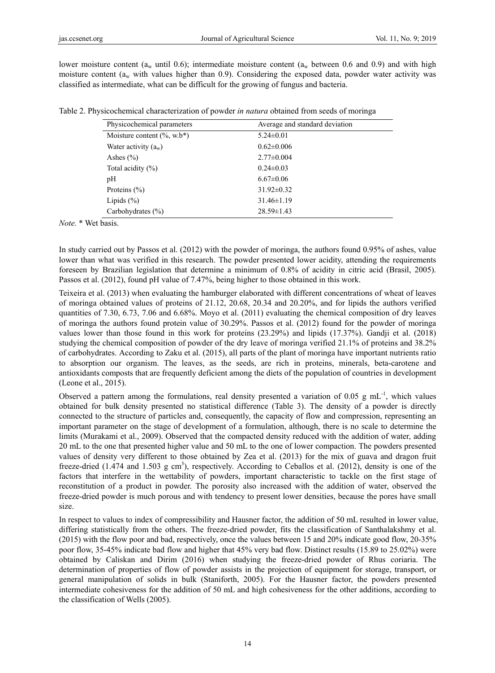lower moisture content ( $a_w$  until 0.6); intermediate moisture content ( $a_w$  between 0.6 and 0.9) and with high moisture content ( $a_w$  with values higher than 0.9). Considering the exposed data, powder water activity was classified as intermediate, what can be difficult for the growing of fungus and bacteria.

Table 2. Physicochemical characterization of powder *in natura* obtained from seeds of moringa

| Physicochemical parameters     | Average and standard deviation |
|--------------------------------|--------------------------------|
| Moisture content $(\%$ , w.b*) | $5.24 \pm 0.01$                |
| Water activity $(a_w)$         | $0.62 \pm 0.006$               |
| Ashes $(\% )$                  | $2.77 \pm 0.004$               |
| Total acidity $(\% )$          | $0.24 \pm 0.03$                |
| pH                             | $6.67 \pm 0.06$                |
| Proteins $(\% )$               | $31.92 \pm 0.32$               |
| Lipids $(\% )$                 | $31.46 \pm 1.19$               |
| Carbohydrates $(\% )$          | $28.59 \pm 1.43$               |

*Note.* \* Wet basis.

In study carried out by Passos et al. (2012) with the powder of moringa, the authors found 0.95% of ashes, value lower than what was verified in this research. The powder presented lower acidity, attending the requirements foreseen by Brazilian legislation that determine a minimum of 0.8% of acidity in citric acid (Brasil, 2005). Passos et al. (2012), found pH value of 7.47%, being higher to those obtained in this work.

Teixeira et al. (2013) when evaluating the hamburger elaborated with different concentrations of wheat of leaves of moringa obtained values of proteins of 21.12, 20.68, 20.34 and 20.20%, and for lipids the authors verified quantities of 7.30, 6.73, 7.06 and 6.68%. Moyo et al. (2011) evaluating the chemical composition of dry leaves of moringa the authors found protein value of 30.29%. Passos et al. (2012) found for the powder of moringa values lower than those found in this work for proteins (23.29%) and lipids (17.37%). Gandji et al. (2018) studying the chemical composition of powder of the dry leave of moringa verified 21.1% of proteins and 38.2% of carbohydrates. According to Zaku et al. (2015), all parts of the plant of moringa have important nutrients ratio to absorption our organism. The leaves, as the seeds, are rich in proteins, minerals, beta-carotene and antioxidants composts that are frequently deficient among the diets of the population of countries in development (Leone et al., 2015).

Observed a pattern among the formulations, real density presented a variation of 0.05 g mL<sup>-1</sup>, which values obtained for bulk density presented no statistical difference (Table 3). The density of a powder is directly connected to the structure of particles and, consequently, the capacity of flow and compression, representing an important parameter on the stage of development of a formulation, although, there is no scale to determine the limits (Murakami et al., 2009). Observed that the compacted density reduced with the addition of water, adding 20 mL to the one that presented higher value and 50 mL to the one of lower compaction. The powders presented values of density very different to those obtained by Zea et al. (2013) for the mix of guava and dragon fruit freeze-dried  $(1.474 \text{ and } 1.503 \text{ g cm}^3)$ , respectively. According to Ceballos et al.  $(2012)$ , density is one of the factors that interfere in the wettability of powders, important characteristic to tackle on the first stage of reconstitution of a product in powder. The porosity also increased with the addition of water, observed the freeze-dried powder is much porous and with tendency to present lower densities, because the pores have small size.

In respect to values to index of compressibility and Hausner factor, the addition of 50 mL resulted in lower value, differing statistically from the others. The freeze-dried powder, fits the classification of Santhalakshmy et al. (2015) with the flow poor and bad, respectively, once the values between 15 and 20% indicate good flow, 20-35% poor flow, 35-45% indicate bad flow and higher that 45% very bad flow. Distinct results (15.89 to 25.02%) were obtained by Caliskan and Dirim (2016) when studying the freeze-dried powder of Rhus coriaria. The determination of properties of flow of powder assists in the projection of equipment for storage, transport, or general manipulation of solids in bulk (Staniforth, 2005). For the Hausner factor, the powders presented intermediate cohesiveness for the addition of 50 mL and high cohesiveness for the other additions, according to the classification of Wells (2005).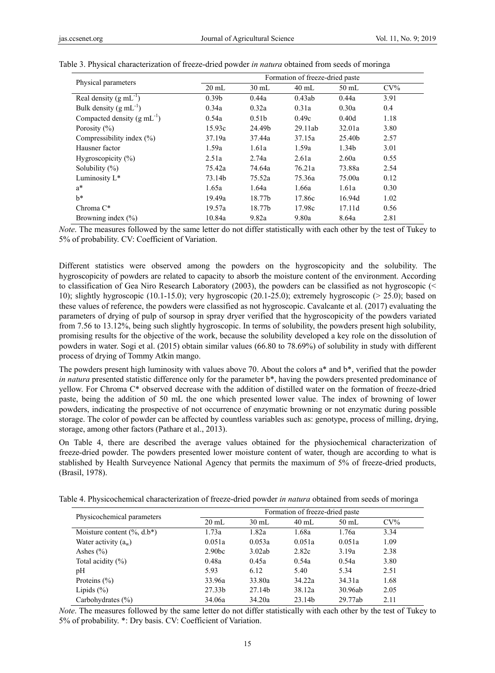| Physical parameters                     | Formation of freeze-dried paste |                   |         |                   |        |  |  |  |  |  |
|-----------------------------------------|---------------------------------|-------------------|---------|-------------------|--------|--|--|--|--|--|
|                                         | $20 \text{ mL}$                 | $30 \text{ mL}$   | $40$ mL | $50$ mL           | $CV\%$ |  |  |  |  |  |
| Real density $(g mL^{-1})$              | 0.39 <sub>b</sub>               | 0.44a             | 0.43ab  | 0.44a             | 3.91   |  |  |  |  |  |
| Bulk density $(g \text{ mL}^{-1})$      | 0.34a                           | 0.32a             | 0.31a   | 0.30a             | 0.4    |  |  |  |  |  |
| Compacted density $(g \text{ mL}^{-1})$ | 0.54a                           | 0.51 <sub>b</sub> | 0.49c   | 0.40d             | 1.18   |  |  |  |  |  |
| Porosity $(\% )$                        | 15.93c                          | 24.49b            | 29.11ab | 32.01a            | 3.80   |  |  |  |  |  |
| Compressibility index $(\% )$           | 37.19a                          | 37.44a            | 37.15a  | 25.40b            | 2.57   |  |  |  |  |  |
| Hausner factor                          | 1.59a                           | 1.61a             | 1.59a   | 1.34 <sub>b</sub> | 3.01   |  |  |  |  |  |
| Hygroscopicity $(\% )$                  | 2.51a                           | 2.74a             | 2.61a   | 2.60a             | 0.55   |  |  |  |  |  |
| Solubility $(\%)$                       | 75.42a                          | 74.64a            | 76.21a  | 73.88a            | 2.54   |  |  |  |  |  |
| Luminosity L*                           | 73.14b                          | 75.52a            | 75.36a  | 75.00a            | 0.12   |  |  |  |  |  |
| $a^*$                                   | 1.65a                           | 1.64a             | 1.66a   | 1.61a             | 0.30   |  |  |  |  |  |
| $h^*$                                   | 19.49a                          | 18.77b            | 17.86c  | 16.94d            | 1.02   |  |  |  |  |  |
| Chroma $C^*$                            | 19.57a                          | 18.77b            | 17.98c  | 17.11d            | 0.56   |  |  |  |  |  |
| Browning index $(\% )$                  | 10.84a                          | 9.82a             | 9.80a   | 8.64a             | 2.81   |  |  |  |  |  |

|  | Table 3. Physical characterization of freeze-dried powder in natura obtained from seeds of moringa |  |  |  |  |
|--|----------------------------------------------------------------------------------------------------|--|--|--|--|
|  |                                                                                                    |  |  |  |  |

*Note*. The measures followed by the same letter do not differ statistically with each other by the test of Tukey to 5% of probability. CV: Coefficient of Variation.

Different statistics were observed among the powders on the hygroscopicity and the solubility. The hygroscopicity of powders are related to capacity to absorb the moisture content of the environment. According to classification of Gea Niro Research Laboratory (2003), the powders can be classified as not hygroscopic (< 10); slightly hygroscopic (10.1-15.0); very hygroscopic (20.1-25.0); extremely hygroscopic (> 25.0); based on these values of reference, the powders were classified as not hygroscopic. Cavalcante et al. (2017) evaluating the parameters of drying of pulp of soursop in spray dryer verified that the hygroscopicity of the powders variated from 7.56 to 13.12%, being such slightly hygroscopic. In terms of solubility, the powders present high solubility, promising results for the objective of the work, because the solubility developed a key role on the dissolution of powders in water. Sogi et al. (2015) obtain similar values (66.80 to 78.69%) of solubility in study with different process of drying of Tommy Atkin mango.

The powders present high luminosity with values above 70. About the colors a\* and b\*, verified that the powder *in natura* presented statistic difference only for the parameter b<sup>\*</sup>, having the powders presented predominance of yellow. For Chroma C\* observed decrease with the addition of distilled water on the formation of freeze-dried paste, being the addition of 50 mL the one which presented lower value. The index of browning of lower powders, indicating the prospective of not occurrence of enzymatic browning or not enzymatic during possible storage. The color of powder can be affected by countless variables such as: genotype, process of milling, drying, storage, among other factors (Pathare et al., 2013).

On Table 4, there are described the average values obtained for the physiochemical characterization of freeze-dried powder. The powders presented lower moisture content of water, though are according to what is stablished by Health Surveyence National Agency that permits the maximum of 5% of freeze-dried products, (Brasil, 1978).

Table 4. Physicochemical characterization of freeze-dried powder *in natura* obtained from seeds of moringa

|                                | Formation of freeze-dried paste |                 |         |         |        |  |  |  |
|--------------------------------|---------------------------------|-----------------|---------|---------|--------|--|--|--|
| Physicochemical parameters     | $20 \text{ mL}$                 | $30 \text{ mL}$ | $40$ mL | $50$ mL | $CV\%$ |  |  |  |
| Moisture content $(\%$ , d.b*) | 1.73a                           | 1.82a           | 1.68a   | 1.76a   | 3.34   |  |  |  |
| Water activity $(a_w)$         | 0.051a                          | 0.053a          | 0.051a  | 0.051a  | 1.09   |  |  |  |
| Ashes $(\% )$                  | 2.90 <sub>bc</sub>              | 3.02ab          | 2.82c   | 3.19a   | 2.38   |  |  |  |
| Total acidity $(\% )$          | 0.48a                           | 0.45a           | 0.54a   | 0.54a   | 3.80   |  |  |  |
| pН                             | 5.93                            | 6.12            | 5.40    | 5.34    | 2.51   |  |  |  |
| Proteins $(\% )$               | 33.96a                          | 33.80a          | 34.22a  | 34.31a  | 1.68   |  |  |  |
| Lipids $(\% )$                 | 27.33b                          | 27.14b          | 38.12a  | 30.96ab | 2.05   |  |  |  |
| Carbohydrates $(\% )$          | 34.06a                          | 34.20a          | 23.14b  | 29.77ab | 2.11   |  |  |  |

*Note*. The measures followed by the same letter do not differ statistically with each other by the test of Tukey to 5% of probability. \*: Dry basis. CV: Coefficient of Variation.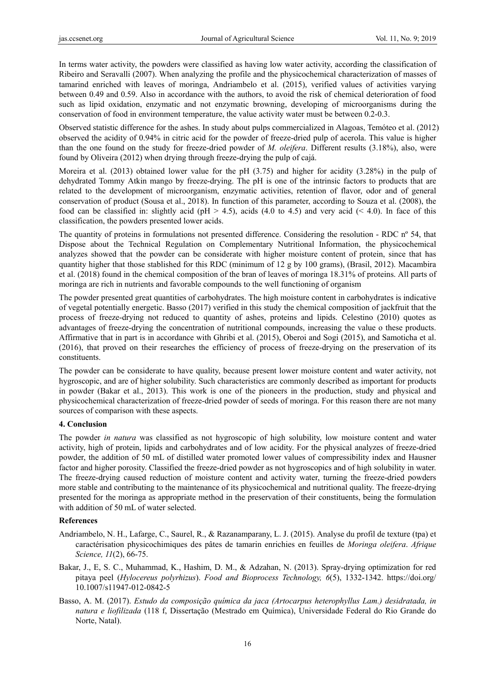In terms water activity, the powders were classified as having low water activity, according the classification of Ribeiro and Seravalli (2007). When analyzing the profile and the physicochemical characterization of masses of tamarind enriched with leaves of moringa, Andriambelo et al. (2015), verified values of activities varying between 0.49 and 0.59. Also in accordance with the authors, to avoid the risk of chemical deterioration of food such as lipid oxidation, enzymatic and not enzymatic browning, developing of microorganisms during the conservation of food in environment temperature, the value activity water must be between 0.2-0.3.

Observed statistic difference for the ashes. In study about pulps commercialized in Alagoas, Temóteo et al. (2012) observed the acidity of 0.94% in citric acid for the powder of freeze-dried pulp of acerola. This value is higher than the one found on the study for freeze-dried powder of *M. oleifera*. Different results (3.18%), also, were found by Oliveira (2012) when drying through freeze-drying the pulp of cajá.

Moreira et al. (2013) obtained lower value for the pH (3.75) and higher for acidity (3.28%) in the pulp of dehydrated Tommy Atkin mango by freeze-drying. The pH is one of the intrinsic factors to products that are related to the development of microorganism, enzymatic activities, retention of flavor, odor and of general conservation of product (Sousa et al., 2018). In function of this parameter, according to Souza et al. (2008), the food can be classified in: slightly acid (pH  $> 4.5$ ), acids (4.0 to 4.5) and very acid (< 4.0). In face of this classification, the powders presented lower acids.

The quantity of proteins in formulations not presented difference. Considering the resolution - RDC nº 54, that Dispose about the Technical Regulation on Complementary Nutritional Information, the physicochemical analyzes showed that the powder can be considerate with higher moisture content of protein, since that has quantity higher that those stablished for this RDC (minimum of 12 g by 100 grams), (Brasil, 2012). Macambira et al. (2018) found in the chemical composition of the bran of leaves of moringa 18.31% of proteins. All parts of moringa are rich in nutrients and favorable compounds to the well functioning of organism

The powder presented great quantities of carbohydrates. The high moisture content in carbohydrates is indicative of vegetal potentially energetic. Basso (2017) verified in this study the chemical composition of jackfruit that the process of freeze-drying not reduced to quantity of ashes, proteins and lipids. Celestino (2010) quotes as advantages of freeze-drying the concentration of nutritional compounds, increasing the value o these products. Affirmative that in part is in accordance with Ghribi et al. (2015), Oberoi and Sogi (2015), and Samoticha et al. (2016), that proved on their researches the efficiency of process of freeze-drying on the preservation of its constituents.

The powder can be considerate to have quality, because present lower moisture content and water activity, not hygroscopic, and are of higher solubility. Such characteristics are commonly described as important for products in powder (Bakar et al., 2013). This work is one of the pioneers in the production, study and physical and physicochemical characterization of freeze-dried powder of seeds of moringa. For this reason there are not many sources of comparison with these aspects.

## **4. Conclusion**

The powder *in natura* was classified as not hygroscopic of high solubility, low moisture content and water activity, high of protein, lipids and carbohydrates and of low acidity. For the physical analyzes of freeze-dried powder, the addition of 50 mL of distilled water promoted lower values of compressibility index and Hausner factor and higher porosity. Classified the freeze-dried powder as not hygroscopics and of high solubility in water. The freeze-drying caused reduction of moisture content and activity water, turning the freeze-dried powders more stable and contributing to the maintenance of its physicochemical and nutritional quality. The freeze-drying presented for the moringa as appropriate method in the preservation of their constituents, being the formulation with addition of 50 mL of water selected.

## **References**

- Andriambelo, N. H., Lafarge, C., Saurel, R., & Razanamparany, L. J. (2015). Analyse du profil de texture (tpa) et caractérisation physicochimiques des pâtes de tamarin enrichies en feuilles de *Moringa oleifera*. *Afrique Science, 11*(2), 66-75.
- Bakar, J., E, S. C., Muhammad, K., Hashim, D. M., & Adzahan, N. (2013). Spray-drying optimization for red pitaya peel (*Hylocereus polyrhizus*). *Food and Bioprocess Technology, 6*(5), 1332-1342. https://doi.org/ 10.1007/s11947-012-0842-5
- Basso, A. M. (2017). *Estudo da composição química da jaca (Artocarpus heterophyllus Lam.) desidratada, in natura e liofilizada* (118 f, Dissertação (Mestrado em Química), Universidade Federal do Rio Grande do Norte, Natal).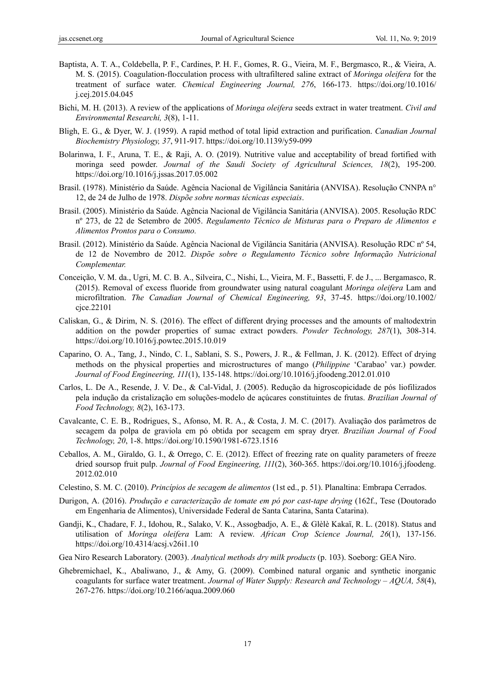- Baptista, A. T. A., Coldebella, P. F., Cardines, P. H. F., Gomes, R. G., Vieira, M. F., Bergmasco, R., & Vieira, A. M. S. (2015). Coagulation-flocculation process with ultrafiltered saline extract of *Moringa oleifera* for the treatment of surface water. *Chemical Engineering Journal, 276*, 166-173. https://doi.org/10.1016/ j.cej.2015.04.045
- Bichi, M. H. (2013). A review of the applications of *Moringa oleifera* seeds extract in water treatment. *Civil and Environmental Researchi, 3*(8), 1-11.
- Bligh, E. G., & Dyer, W. J. (1959). A rapid method of total lipid extraction and purification. *Canadian Journal Biochemistry Physiology, 37*, 911-917. https://doi.org/10.1139/y59-099
- Bolarinwa, I. F., Aruna, T. E., & Raji, A. O. (2019). Nutritive value and acceptability of bread fortified with moringa seed powder. *Journal of the Saudi Society of Agricultural Sciences, 18*(2), 195-200. https://doi.org/10.1016/j.jssas.2017.05.002
- Brasil. (1978). Ministério da Saúde. Agência Nacional de Vigilância Sanitária (ANVISA). Resolução CNNPA n° 12, de 24 de Julho de 1978. *Dispõe sobre normas técnicas especiais*.
- Brasil. (2005). Ministério da Saúde. Agência Nacional de Vigilância Sanitária (ANVISA). 2005. Resolução RDC nº 273, de 22 de Setembro de 2005. *Regulamento Técnico de Misturas para o Preparo de Alimentos e Alimentos Prontos para o Consumo.*
- Brasil. (2012). Ministério da Saúde. Agência Nacional de Vigilância Sanitária (ANVISA). Resolução RDC nº 54, de 12 de Novembro de 2012. *Dispõe sobre o Regulamento Técnico sobre Informação Nutricional Complementar.*
- Conceição, V. M. da., Ugri, M. C. B. A., Silveira, C., Nishi, L., Vieira, M. F., Bassetti, F. de J., ... Bergamasco, R. (2015). Removal of excess fluoride from groundwater using natural coagulant *Moringa oleifera* Lam and microfiltration. *The Canadian Journal of Chemical Engineering, 93*, 37-45. https://doi.org/10.1002/ cjce.22101
- Caliskan, G., & Dirim, N. S. (2016). The effect of different drying processes and the amounts of maltodextrin addition on the powder properties of sumac extract powders. *Powder Technology, 287*(1), 308-314. https://doi.org/10.1016/j.powtec.2015.10.019
- Caparino, O. A., Tang, J., Nindo, C. I., Sablani, S. S., Powers, J. R., & Fellman, J. K. (2012). Effect of drying methods on the physical properties and microstructures of mango (*Philippine* 'Carabao' var.) powder. *Journal of Food Engineering, 111*(1), 135-148. https://doi.org/10.1016/j.jfoodeng.2012.01.010
- Carlos, L. De A., Resende, J. V. De., & Cal-Vidal, J. (2005). Redução da higroscopicidade de pós liofilizados pela indução da cristalização em soluções-modelo de açúcares constituintes de frutas. *Brazilian Journal of Food Technology, 8*(2), 163-173.
- Cavalcante, C. E. B., Rodrigues, S., Afonso, M. R. A., & Costa, J. M. C. (2017). Avaliação dos parâmetros de secagem da polpa de graviola em pó obtida por secagem em spray dryer. *Brazilian Journal of Food Technology, 20*, 1-8. https://doi.org/10.1590/1981-6723.1516
- Ceballos, A. M., Giraldo, G. I., & Orrego, C. E. (2012). Effect of freezing rate on quality parameters of freeze dried soursop fruit pulp. *Journal of Food Engineering, 111*(2), 360-365. https://doi.org/10.1016/j.jfoodeng. 2012.02.010
- Celestino, S. M. C. (2010). *Princípios de secagem de alimentos* (1st ed., p. 51). Planaltina: Embrapa Cerrados.
- Durigon, A. (2016). *Produção e caracterização de tomate em pó por cast-tape drying* (162f., Tese (Doutorado em Engenharia de Alimentos), Universidade Federal de Santa Catarina, Santa Catarina).
- Gandji, K., Chadare, F. J., Idohou, R., Salako, V. K., Assogbadjo, A. E., & Glèlè Kakaï, R. L. (2018). Status and utilisation of *Moringa oleifera* Lam: A review. *African Crop Science Journal, 26*(1), 137-156. https://doi.org/10.4314/acsj.v26i1.10
- Gea Niro Research Laboratory. (2003). *Analytical methods dry milk products* (p. 103). Soeborg: GEA Niro.
- Ghebremichael, K., Abaliwano, J., & Amy, G. (2009). Combined natural organic and synthetic inorganic coagulants for surface water treatment. *Journal of Water Supply: Research and Technology – AQUA, 58*(4), 267-276. https://doi.org/10.2166/aqua.2009.060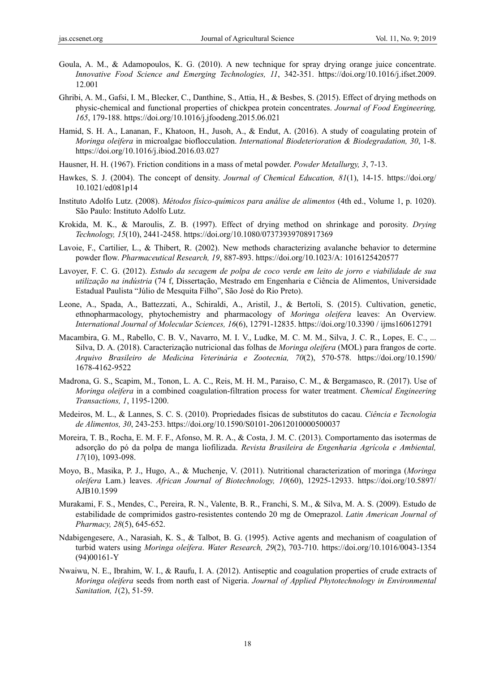- Goula, A. M., & Adamopoulos, K. G. (2010). A new technique for spray drying orange juice concentrate. *Innovative Food Science and Emerging Technologies, 11*, 342-351. https://doi.org/10.1016/j.ifset.2009. 12.001
- Ghribi, A. M., Gafsi, I. M., Blecker, C., Danthine, S., Attia, H., & Besbes, S. (2015). Effect of drying methods on physic-chemical and functional properties of chickpea protein concentrates. *Journal of Food Engineering, 165*, 179-188. https://doi.org/10.1016/j.jfoodeng.2015.06.021
- Hamid, S. H. A., Lananan, F., Khatoon, H., Jusoh, A., & Endut, A. (2016). A study of coagulating protein of *Moringa oleifera* in microalgae bioflocculation. *International Biodeterioration & Biodegradation, 30*, 1-8. https://doi.org/10.1016/j.ibiod.2016.03.027
- Hausner, H. H. (1967). Friction conditions in a mass of metal powder. *Powder Metallurgy, 3*, 7-13.
- Hawkes, S. J. (2004). The concept of density. *Journal of Chemical Education, 81*(1), 14-15. https://doi.org/ 10.1021/ed081p14
- Instituto Adolfo Lutz. (2008). *Métodos físico-químicos para análise de alimentos* (4th ed., Volume 1, p. 1020). São Paulo: Instituto Adolfo Lutz.
- Krokida, M. K., & Maroulis, Z. B. (1997). Effect of drying method on shrinkage and porosity. *Drying Technology, 15*(10), 2441-2458. https://doi.org/10.1080/07373939708917369
- Lavoie, F., Cartilier, L., & Thibert, R. (2002). New methods characterizing avalanche behavior to determine powder flow. *Pharmaceutical Research, 19*, 887-893. https://doi.org/10.1023/A: 1016125420577
- Lavoyer, F. C. G. (2012). *Estudo da secagem de polpa de coco verde em leito de jorro e viabilidade de sua utilização na indústria* (74 f, Dissertação, Mestrado em Engenharia e Ciência de Alimentos, Universidade Estadual Paulista "Júlio de Mesquita Filho", São José do Rio Preto).
- Leone, A., Spada, A., Battezzati, A., Schiraldi, A., Aristil, J., & Bertoli, S. (2015). Cultivation, genetic, ethnopharmacology, phytochemistry and pharmacology of *Moringa oleifera* leaves: An Overview. *International Journal of Molecular Sciences, 16*(6), 12791-12835. https://doi.org/10.3390 / ijms160612791
- Macambira, G. M., Rabello, C. B. V., Navarro, M. I. V., Ludke, M. C. M. M., Silva, J. C. R., Lopes, E. C., ... Silva, D. A. (2018). Caracterização nutricional das folhas de *Moringa oleifera* (MOL) para frangos de corte. *Arquivo Brasileiro de Medicina Veterinária e Zootecnia, 70*(2), 570-578. https://doi.org/10.1590/ 1678-4162-9522
- Madrona, G. S., Scapim, M., Tonon, L. A. C., Reis, M. H. M., Paraiso, C. M., & Bergamasco, R. (2017). Use of *Moringa oleifera* in a combined coagulation-filtration process for water treatment. *Chemical Engineering Transactions, 1*, 1195-1200.
- Medeiros, M. L., & Lannes, S. C. S. (2010). Propriedades físicas de substitutos do cacau. *Ciência e Tecnologia de Alimentos, 30*, 243-253. https://doi.org/10.1590/S0101-20612010000500037
- Moreira, T. B., Rocha, E. M. F. F., Afonso, M. R. A., & Costa, J. M. C. (2013). Comportamento das isotermas de adsorção do pó da polpa de manga liofilizada. *Revista Brasileira de Engenharia Agrícola e Ambiental, 17*(10), 1093-098.
- Moyo, B., Masika, P. J., Hugo, A., & Muchenje, V. (2011). Nutritional characterization of moringa (*Moringa oleifera* Lam.) leaves. *African Journal of Biotechnology, 10*(60), 12925-12933. https://doi.org/10.5897/ AJB10.1599
- Murakami, F. S., Mendes, C., Pereira, R. N., Valente, B. R., Franchi, S. M., & Silva, M. A. S. (2009). Estudo de estabilidade de comprimidos gastro-resistentes contendo 20 mg de Omeprazol. *Latin American Journal of Pharmacy, 28*(5), 645-652.
- Ndabigengesere, A., Narasiah, K. S., & Talbot, B. G. (1995). Active agents and mechanism of coagulation of turbid waters using *Moringa oleífera*. *Water Research, 29*(2), 703-710. https://doi.org/10.1016/0043-1354 (94)00161-Y
- Nwaiwu, N. E., Ibrahim, W. I., & Raufu, I. A. (2012). Antiseptic and coagulation properties of crude extracts of *Moringa oleifera* seeds from north east of Nigeria. *Journal of Applied Phytotechnology in Environmental Sanitation, 1*(2), 51-59.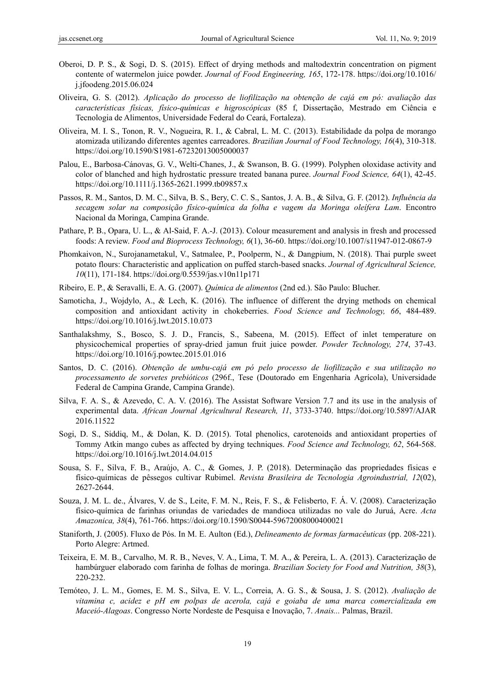- Oberoi, D. P. S., & Sogi, D. S. (2015). Effect of drying methods and maltodextrin concentration on pigment contente of watermelon juice powder. *Journal of Food Engineering, 165*, 172-178. https://doi.org/10.1016/ j.jfoodeng.2015.06.024
- Oliveira, G. S. (2012). *Aplicação do processo de liofilização na obtenção de cajá em pó: avaliação das características físicas, físico-químicas e higroscópicas* (85 f, Dissertação, Mestrado em Ciência e Tecnologia de Alimentos, Universidade Federal do Ceará, Fortaleza).
- Oliveira, M. I. S., Tonon, R. V., Nogueira, R. I., & Cabral, L. M. C. (2013). Estabilidade da polpa de morango atomizada utilizando diferentes agentes carreadores. *Brazilian Journal of Food Technology, 16*(4), 310-318. https://doi.org/10.1590/S1981-67232013005000037
- Palou, E., Barbosa-Cánovas, G. V., Welti-Chanes, J., & Swanson, B. G. (1999). Polyphen oloxidase activity and color of blanched and high hydrostatic pressure treated banana puree. *Journal Food Science, 64*(1), 42-45. https://doi.org/10.1111/j.1365-2621.1999.tb09857.x
- Passos, R. M., Santos, D. M. C., Silva, B. S., Bery, C. C. S., Santos, J. A. B., & Silva, G. F. (2012). *Influência da secagem solar na composição físico-química da folha e vagem da Moringa oleífera Lam*. Encontro Nacional da Moringa, Campina Grande.
- Pathare, P. B., Opara, U. L., & Al-Said, F. A.-J. (2013). Colour measurement and analysis in fresh and processed foods: A review. *Food and Bioprocess Technology, 6*(1), 36-60. https://doi.org/10.1007/s11947-012-0867-9
- Phomkaivon, N., Surojanametakul, V., Satmalee, P., Poolperm, N., & Dangpium, N. (2018). Thai purple sweet potato flours: Characteristic and application on puffed starch-based snacks. *Journal of Agricultural Science, 10*(11), 171-184. https://doi.org/0.5539/jas.v10n11p171
- Ribeiro, E. P., & Seravalli, E. A. G. (2007). *Química de alimentos* (2nd ed.). São Paulo: Blucher.
- Samoticha, J., Wojdylo, A., & Lech, K. (2016). The influence of different the drying methods on chemical composition and antioxidant activity in chokeberries. *Food Science and Technology, 66*, 484-489. https://doi.org/10.1016/j.lwt.2015.10.073
- Santhalakshmy, S., Bosco, S. J. D., Francis, S., Sabeena, M. (2015). Effect of inlet temperature on physicochemical properties of spray-dried jamun fruit juice powder. *Powder Technology, 274*, 37-43. https://doi.org/10.1016/j.powtec.2015.01.016
- Santos, D. C. (2016). *Obtenção de umbu-cajá em pó pelo processo de liofilização e sua utilização no processamento de sorvetes prebióticos* (296f., Tese (Doutorado em Engenharia Agrícola), Universidade Federal de Campina Grande, Campina Grande).
- Silva, F. A. S., & Azevedo, C. A. V. (2016). The Assistat Software Version 7.7 and its use in the analysis of experimental data. *African Journal Agricultural Research, 11*, 3733-3740. https://doi.org/10.5897/AJAR 2016.11522
- Sogi, D. S., Siddiq, M., & Dolan, K. D. (2015). Total phenolics, carotenoids and antioxidant properties of Tommy Atkin mango cubes as affected by drying techniques. *Food Science and Technology, 62*, 564-568. https://doi.org/10.1016/j.lwt.2014.04.015
- Sousa, S. F., Silva, F. B., Araújo, A. C., & Gomes, J. P. (2018). Determinação das propriedades físicas e físico-químicas de pêssegos cultivar Rubimel. *Revista Brasileira de Tecnologia Agroindustrial, 12*(02), 2627-2644.
- Souza, J. M. L. de., Álvares, V. de S., Leite, F. M. N., Reis, F. S., & Felisberto, F. Á. V. (2008). Caracterização físico-química de farinhas oriundas de variedades de mandioca utilizadas no vale do Juruá, Acre. *Acta Amazonica, 38*(4), 761-766. https://doi.org/10.1590/S0044-59672008000400021
- Staniforth, J. (2005). Fluxo de Pós. In M. E. Aulton (Ed.), *Delineamento de formas farmacêuticas* (pp. 208-221). Porto Alegre: Artmed.
- Teixeira, E. M. B., Carvalho, M. R. B., Neves, V. A., Lima, T. M. A., & Pereira, L. A. (2013). Caracterização de hambúrguer elaborado com farinha de folhas de moringa. *Brazilian Society for Food and Nutrition, 38*(3), 220-232.
- Temóteo, J. L. M., Gomes, E. M. S., Silva, E. V. L., Correia, A. G. S., & Sousa, J. S. (2012). *Avaliação de vitamina c, acidez e pH em polpas de acerola, cajá e goiaba de uma marca comercializada em Maceió-Alagoas*. Congresso Norte Nordeste de Pesquisa e Inovação, 7. *Anais...* Palmas, Brazil.